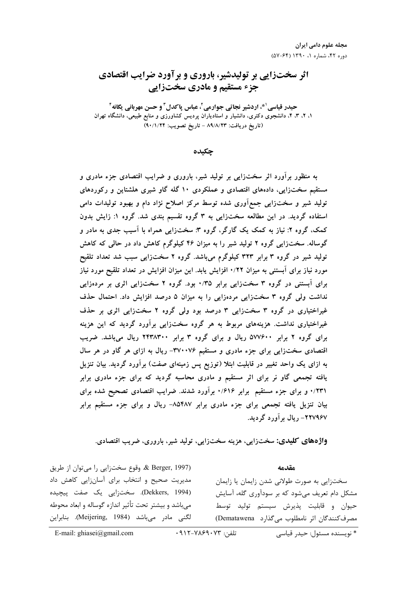# **اثر سختزایی بر تولیدشیر، باروری و برآورد ضرایب اقتصادی** جزء مستقیم و مادری سختزایی

حیدر قیاسی <sup>۱ \*</sup>، اردشیر نجاتی جوارمی ً، عباس پاکدل <sup>۳</sup> و حسن مهربانی یگانه ٔ **#\$ %& - !" - -4 -3 -2 -1** (تاريخ دريافت: ٨٩/٨/٢٣ - تاريخ تصويب: ٩٠/١/٢۴)

حک**ده** 

به منظور براورد اثر سختزایی بر تولید شیر، باروری و ضرایب اقتصادی جزء مادری و مستقیم سختزایی، دادههای اقتصادی و عملکردی ۱۰ گله گاو شیری هلشتاین و رکوردهای تولید شیر و سختزایی جمع۱وری شده توسط مرکز اصلاح نژاد دام و بهبود تولیدات دامی استفاده گردید. در این مطالعه سختزایی به ۳ گروه تقسیم بندی شد. گروه ۱: زایش بدون کمک، گروه ۲: نیاز به کمک یک گارگر، گروه ۳: سختزایی همراه با اسیب جدی به مادر و گوساله. سختزایی گروه ۲ تولید شیر را به میزان ۴۶ کیلوگرم کاهش داد در حالی که کاهش **YBF\$ :\$ :9 0 (4 2 %I .:9 QIF 323 3 %I 9 :;\$** مورد نیاز برای آبستنی به میزان ۰/۲۲ افزایش یابد. این میزان افزایش در تعداد تلقیح مورد نیاز  **% 5 (4 2 %I . 0/35 (4 3 %I C6**  $X$  نداشت ولی گروه ۳ سختزایی مردهزایی را به میزان ۵ درصد افزایش داد. احتمال حذف غیراختیاری در گروه ۳ سختزایی ۳ درصد بود ولی گروه ۲ سختزایی اثری بر حذف غیراختیاری نداشت. هزینههای مربوط به هر گروه سختزایی براورد گردید که این هزینه **0@ .:9 ] 2438300 3 %I ] 577600 2 %I ] D I D 8 ] -370076 AB C <=> (4 1 ?** به ازای یک واحد تغییر در قابلیت ابتلا (توزیع پس زمینهای صفت) برآورد گردید. بیان تنزیل **یافته تجمعی گاو نر برای اثر مستقیم و مادری محاسبه گردید که برای جزء مادری برابر 81**٪ و برای جزء مستقیم برابر ۶۱۶٪ برآورد شدند. ضرایب اقتصادی تصحیح شده برای بیان تنزیل یافته تجمعی برای جزء مادری برابر ۸۵۴۸۷– ریال و برای جزء مستقیم برابر **.:I 6 ] -227967**

**واژههای کلیدی: سخ**تزایی، هزینه سختزایی، تولید شیر، باروری، ضریب اقتصادی.

& Berger, 1997). وقوع سختزايي را ميتوان از طريق مدیریت صحیح و انتخاب برای آسان;ایی کاهش داد (Dekkers, 1994). سختزايي يک صفت پيچيده میباشد و بیشتر تحت تأثیر اندازه گوساله و ابعاد محوطه لگنی مادر می<sub>ا</sub>باشد (Meijering, 1984). بنابراین

سختزایی به صورت طولانی شدن زایمان یا زایمان مشکل دام تعریف می شود که بر سودآوری گله، آسایش حيوان و قابليت پذيرش سيستم توليد توسط مصرف كنندگان اثر نامطلوب مى گذارد Dematawena

**مقدمه** 

E-mail: ghiasei@gmail.com  $\cdot$  917-7169.07 : تلفن:

\* نويسنده مسئول: حيدر قياسي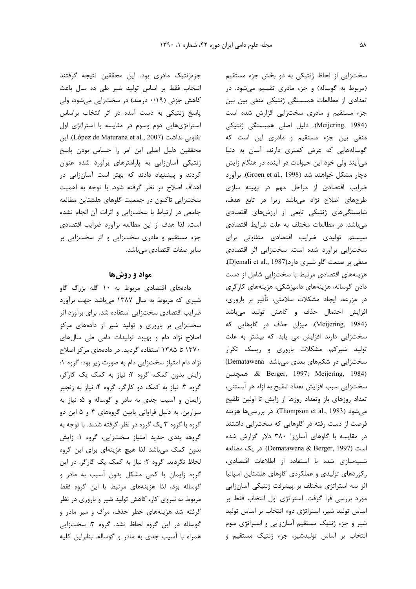سختزایی از لحاظ ژنتیکی به دو بخش جزء مستقیم (مربوط به گوساله) و جزء مادری تقسیم میشود. در تعدادی از مطالعات همبستگی ژنتیکی منفی بین بین جزء مستقیم و مادری سختزایی گزارش شده است (Meijering, 1984). دلیل اصلی همبستگی ژنتیکی منفی بین جزء مستقیم و مادری این است که گوسالههایی که عرض کمتری دارند، آسان به دنیا میآیند ولی خود این حیوانات در آینده در هنگام زایش دچار مشکل خواهند شد (Groen et al., 1998). برآورد ضرایب اقتصادی از مراحل مهم در بهینه سازی طرحهای اصلاح نژاد میباشد زیرا در تابع هدف، شایستگیهای ژنتیکی تابعی از ارزشهای اقتصادی میباشد. در مطالعات مختلف به علت شرایط اقتصادی سیستم تولیدی ضرایب اقتصادی متفاوتی برای سختزایی برآورد شده است. سختزایی اثر اقتصادی . منفی بر صنعت گاو شیری دارد(Djemali et al., 1987) هزینههای اقتصادی مرتبط با سختزایی شامل از دست دادن گوساله، هزینههای دامپزشکی، هزینههای کارگری در مزرعه، ایجاد مشکلات سلامتی، تأثیر بر باروری، افزایش احتمال حذف و کاهش تولید میباشد (1984 .Meijering, 1984). ميزان حذف در گاوهايي كه سختزایی دارند افزایش می یابد که بیشتر به علت تولید شیرکم، مشکلات باروری و ریسک تکرار  $(D$ ematawena میباشد (Dematawena %"T R .& Berger, 1997; Meijering, 1984) سخت;ایی سبب افزایش تعداد تلقیح به ازاء هر آبستنی، تعداد روزهای باز وتعداد روزها از زایش تا اولین تلقیح میشود (1983 ,Thompson et al., 1983). در بررسیها هزینه فرصت از دست رفته در گاوهایی که سختزایی داشتند در مقایسه با گاوهای آسانزا ۳۸۰ دلار گزارش شده است (Dematawena & Berger, 1997). در يک مطالعه شبیهسازی شده با استفاده از اطلاعات اقتصادی، رکوردهای تولیدی و عملکردی گاوهای هلشتاین اسپانیا اثر سه استراتژی مختلف بر پیشرفت ژنتیکی آسان;ایی مورد بررسی قرا گرفت. استراتژی اول انتخاب فقط بر اساس تولید شیر، استراتژی دوم انتخاب بر اساس تولید شیر و جزء ژنتیک مستقیم آسانزایی و استراتژی سوم انتخاب بر اساس تولیدشیر، جزء ژنتیک مستقیم و

جزءژنتیک مادری بود. این محققین نتیجه گرفتند انتخاب فقط بر اساس تولید شیر طی ده سال باعث کاهش جزئی (۰/۱۹ درصد) در سختزایی میشود، ولی پاسخ ژنتیکی به دست آمده در اثر انتخاب براساس استراتژیهایی دوم وسوم در مقایسه با استراتژی اول تفاوتی نداشت (López de Maturana et al., 2007). این محققین دلیل اصلی این امر را حساس بودن پاسخ ژنتیکی آسانزایی به پارامترهای برآورد شده عنوان کردند و پیشنهاد دادند که بهتر است آسانزایی در اهداف اصلاح در نظر گرفته شود. با توجه به اهمیت سختزایی تاکنون در جمعیت گاوهای هلشتاین مطالعه جامعی در ارتباط با سختزایی و اثرات آن انجام نشده است، لذا هدف از این مطالعه برآورد ضرایب اقتصادی جزء مستقیم و مادری سختزایی و اثر سختزایی بر سایر صفات اقتصادی مے باشد.

#### **مواد و روش ها**

دادههای اقتصادی مربوط به ۱۰ گله بزرگ گاو شیری که مربوط به سال ۱۳۸۷ میباشد جهت برآورد ضرایب اقتصادی سختزایی استفاده شد. برای برآورد اثر سختزایی بر باروری و تولید شیر از دادههای مرکز اصلاح نژاد دام و بهبود تولیدات دامی طی سالهای ۱۳۷۰ تا ۱۳۸۵ استفاده گردید. در دادههای مرکز اصلاح نژاد دام امتیاز سختزایی دام به صورت زیر بود: گروه ۱: زایش بدون کمک، گروه ۲: نیاز به کمک یک گارگر، گروه ۳: نیاز به کمک دو کارگر، گروه ۴: نیاز به زنجیر زایمان و آسیب جدی به مادر و گوساله و ۵: نیاز به سزارین. به دلیل فراوانی پایین گروههای ۴ و ۵ این دو گروه با گروه ۳ یک گروه در نظر گرفته شدند. با توجه به گروهه بندی جدید امتیاز سختزایی، گروه ۱: زایش بدون کمک میباشد لذا هیچ هزینهای برای این گروه لحاظ نگردید. گروه ۲: نیاز به کمک یک گارگر. در این گروه زایمان با کمی مشکل بدون آسیب به مادر و گوساله بود، لذا هزینههای مرتبط با این گروه فقط مربوط به نیروی کار، کاهش تولید شیر و باروری در نظر گرفته شد هزینههای خطر حذف، مرگ و میر مادر و گوساله در این گروه لحاظ نشد. گروه ۳: سختزایی همراه با آسیب جدی به مادر و گوساله. بنابراین کلیه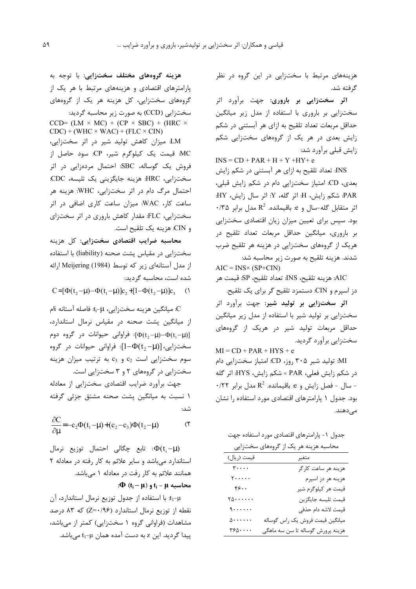هزینههای مرتبط با سختزایی در این گروه در نظر گر فته شد.

**اثر سختزایی بر باروری: ج**هت برآورد اثر سختزایی بر باروری با استفاده از مدل زیر میانگین حداقل مربعات تعداد تلقيح به ازاي هر آبستني در شكم زایش بعدی در هر یک از گروههای سختزایی شکم زایش قبلی برآورد شد:

 $INS = CD + PAR + H + Y + HY + e$ INS: تعداد تلقیح به ازای هر آبستنی در شکم زایش بعدی، CD: امتیاز سختزایی دام در شکم زایش قبلی، :HY فر سال زايش، Hy أثر كله، Y: اثر سال زايش، HY.  $\cdot$ ۳۵ شر متقابل گله-سال و e: باقیمانده. R $^2$  مدل برابر بود. سپس برای تعیین میزان زیان اقتصادی سختزایی بر باروري، ميانگين حداقل مربعات تعداد تلقيح د, هریک از گروههای سختزایی در هزینه هر تلقیح ضرب شدند. هزينه تلقيح به صورت زير محاسبه شد:  $AIC = INS \times (SP + CIN)$ 

AIC: هزينه تلقيح، INS: تعداد تلقيح، SP: قيمت هر دز اسپرم و CIN: دستمزد تلقیح گر برای یک تلقیح.

**اثر سختزایی بر تولید شیر: ج**هت برآورد اثر سختزایی بر تولید شیر با استفاده از مدل زیر میانگین حداقل مربعات تولید شیر در هریک از گروههای سخت;ایی برآورد گردید.

 $MI = CD + PAR + HYS + e$ MI: تولید شیر ۳۰۵ روز، CD: امتیاز سختزایی دام در شكم زايش فعلي، PAR = شكم زايش، HYS: اثر گله  $\cdot$ ، سال - فصل زایش و e باقیمانده.  $\mathsf{R}^2$  مدل برابر  $\cdot$ بود. جدول ۱ پارامترهای اقتصادی مورد استفاده را نشان مے دھند.

جدول ۱– پارامترهای اقتصادی مورد استفاده جهت

|                                            | محاسبه هزینه هر یک از گروههای سختزایی |
|--------------------------------------------|---------------------------------------|
| قيمت (ريال)                                | متغير                                 |
| $\mathbf{r} \cdot \cdot \cdot$             | هزينه هر ساعت كارگر                   |
| $\mathbf{y} \cdot \cdot \cdot \cdot$       | هزينه هر دز اسپرم                     |
| 55.                                        | قیمت هر کیلوگرم شیر                   |
| $\mathbf{y} \circ \cdots \circ \mathbf{y}$ | قيمت تليسه جايگزين                    |
| $\ddot{\theta}$                            | قيمت لاشه دام حذفي                    |
| $\Delta$                                   | ميانگين قيمت فروش يک راس گوساله       |
| $\mathsf{r}_{\mathfrak{p}_0\cdots}$        | هزينه پرورش گوساله تا سن سه ماهگي     |

**هزینه گروههای مختلف سختزایی:** با توجه به پارامترهای اقتصادی و هزینههای مرتبط با هر یک از گروههای سختزایی، کل هزینه هر یک از گروههای سختزايي (CCD) به صورت زير محاسبه گرديد: CCD= (LM  $\times$  MC) + (CP  $\times$  SBC) + (HRC  $\times$ 

 $CDC$ ) + (WHC  $\times$  WAC) + (FLC  $\times$  CIN) LM: میزان کاهش تولید شیر در اثر سختزایی، MC: قیمت یک کیلوگرم شیر، CP: سود حاصل از فروش یک گوساله، SBC: احتمال مردهزایی در اثر سختزایی، HRC: هزینه جایگزینی یک تلیسه، CDC: احتمال مرگ دام در اثر سختزایی، WHC: هزینه هر ساعت کار، WAC: میزان ساعت کاری اضافی در اثر سختزایی، FLC: مقدار کاهش باروری در اثر سختزای و CIN. هزينه يک تلقيح است.

**محاسبه ضرایب اقتصادی سختزایی: ک**ل هزینه سختزایی در مقیاس پشت صحنه (liability) با استفاده از مدل آستانهای زیر که توسط Meijering (1984) ارائه شده است، محاسبه گردید:

 $C = [\Phi(t_2 - \mu) - \Phi(t_1 - \mu)]c_2 + [1 - \Phi(t_2 - \mu)]c_3$  ()

. ميانگين هزينه سختزايي، t $\mathfrak{t}_i$ : فاصله آستانه ilم . از میانگین پشت صحنه در مقیاس نرمال استاندارد، : فراوانی حیوانات در گروه دوم  $[\Phi(\mathsf{t}_2-\mathsf{\mu})-\Phi(\mathsf{t}_1-\mathsf{\mu})]$ سختزایی،  $[1 \text{--} \Phi(\mathfrak{t}_2 \text{--} \mu) ]$ : فراوانی حیوانات در گروه  $c_2$  سوم سختزایی است  $c_2$  و  $c_3$  به ترتیب میزان هزینه سختزایی در گروههای ۲ و ۳ سختزایی است.

جهت برأورد ضرايب اقتصادي سختزايي از معادله ۱ نسبت به میانگین پشت صحنه مشتق جزئی گرفته شد:

$$
\frac{\partial C}{\partial \mu} = -c_2 \Phi(t_1 - \mu) + (c_2 - c_3) \Phi(t_2 - \mu)
$$
 (7)

ا تابع چگالی احتمال توزیع نرمال: $\Phi({\rm t}_{\rm i}\!-\!\!\mu\,)$ استاندارد میباشد و سایر علائم به کار رفته در معادله ۲ همانند علائم به کار رفت در معادله ۱ میباشد.

 $\mathbf{f}_i - \mathbf{\mu} \in \mathbf{t}_i$  محاسبه  $\mathbf{t}_i - \mathbf{\mu} \in \mathbf{t}_i$ ؛

t<sub>1</sub>-μ: با استفاده از جدول توزيع نرمال استاندارد، آن  $\sim$  نقطه از توزیع نرمال استاندارد (Z=٠/٩۶) که ۸۳ درصد مشاهدات (فراوانی گروه ۱ سختزایی) کمتر از میباشد، پیدا گردید. این z به دست آمده همان t<sub>1</sub>-µ میباشد.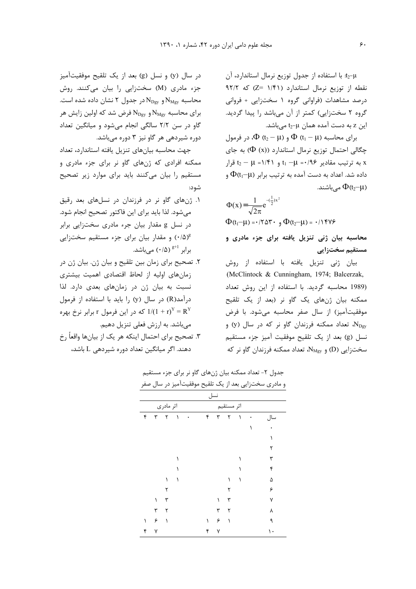t2-μ: با استفاده از جدول توزيع نرمال استاندارد، آن نقطه از توزيع نرمال استاندارد (1/۴۱ =Z) كه ۹۲/۲ درصد مشاهدات (فراوانی گروه ۱ سختزایی + فروانی گروه ۲ سختزایی) کمتر از آن میباشد را پیدا گردید. این z به دست آمده همان t $_2\hbox{-}\mu$  میباشد.

 $\Phi$  (t<sub>2</sub> – µ)  $\Phi$  (t<sub>1</sub> – µ) برای محاسبه  $\Phi$  (t<sub>1</sub> – µ) برای چگالی احتمال توزیع نرمال استاندارد ((Φ (x)) به جای به ترتیب مقادیر  $\mathfrak{e}_1 - \mu = (1 + \mathfrak{e} + \mathfrak{e} + \mathfrak{e} + \mathfrak{e} + \mathfrak{e} + \mathfrak{e} + \mathfrak{e} + \mathfrak{e} + \mathfrak{e} + \mathfrak{e} + \mathfrak{e} + \mathfrak{e} + \mathfrak{e} + \mathfrak{e} + \mathfrak{e} + \mathfrak{e} + \mathfrak{e} + \mathfrak{e} + \mathfrak{e} + \mathfrak{e} + \mathfrak{e} + \mathfrak{e} + \mathfrak{e} + \mathfrak$  $\Phi$ داده شد. اعداد به دست آمده به ترتیب برابر  $\Phi$ (t $_1$  و مے باشند.  $\Phi$ (t2–µ)

$$
\Phi(x) = \frac{1}{\sqrt{2\pi}} e^{-(\frac{1}{2})x^2}
$$
  
 
$$
\Phi(t_1 - \mu) = -(7\Delta \mathbf{r} \cdot \mathbf{r}) \Phi(t_2 - \mu) = -(15\Delta \mathbf{r})
$$

محاسبه بیان ژنی تنزیل یافته برای جزء مادری و مستقیم سختزای*ی* 

بیان ژنی تنزیل یافته با استفاده از روش .(McClintock & Cunningham, 1974; Balcerzak, (1989 محاسبه گردید. با استفاده از این روش تعداد ممکنه بیان ژنهای یک گاو نر (بعد از یک تلقیح موفقيتآميز) از سال صفر محاسبه مي شود. با فرض ، تعداد ممکنه فرزندان گاو نر که در سال (y) و $\rm N_{Dgy}$ نسل (g) بعد از یک تلقیح موفقیت آمیز جزء مستقیم سختزايي (D) و N<sub>Mgy،</sub> تعداد ممكنه فرزندان گاو نر كه

 $\mathbf{y}$  در سال (y) و نسل (g) بعد از یک تلقیح موفقیتآمیز جزء مادری (M) سختزایی را بیان میکنند. روش محاسبه  ${\rm N_{\rm Mgy}}$ و  ${\rm N_{\rm Dgy}}$  در جدول ۲ نشان داده شده است. برای محاسبه  $N_{\rm{Bgy}}$ و  $N_{\rm{Dgy}}$  فرض شد که اولین زایش هر گاو در سن ٢/٢ سالگی انجام میشود و میانگین تعداد دوره شیردهی هر گاو نیز ۳ دوره میباشد.

جهت محاسبه بیانهای تنزیل یافته استاندارد، تعداد ممکنه افرادی که ژنهای گاو نر برای جزء مادری و مستقیم را بیان میکنند باید برای موارد زیر تصحیح شود:

۰. ژنهای گاو نر در فرزندان در نسلهای بعد رقیق میشود. لذا باید برای این فاکتور تصحیح انجام شود. در نسل g مقدار بیان جرء مادری سختزایی برابر و مقدار بیان برای جزء مستقیم سختزایی (۰/۵)  $\left( \cdot/\Delta\right) \overset{\text{g}+1}{\sim}$ برابر  $^{g+1}$  .

۲. تصحیح برای زمان بین تلقیح و بیان ژن. بیان ژن در زمانهای اولیه از لحاظ اقتصادی اهمیت بیشتری نسبت به بيان ژن در زمانهاى بعدى دارد. لذا درآمد(R) در سال (y) را باید با استفاده از فرمول که در این فرمول r برابر نرخ بهره  $1/(1+\text{r})^\text{Y} = \text{R}^\text{Y}$ میباشد. به ارزش فعلی تنزیل دهیم.

۳. تصحیح برای احتمال اینکه هر یک از بیانها واقعأ رخ دهند. اگر میانگین تعداد دوره شیردهی L باشد،

|           |   |   |            |  |   |     |              |           | و مادری سختزایی بعد از یک تلقیح موفقیتآمیز در سال صفر |  |
|-----------|---|---|------------|--|---|-----|--------------|-----------|-------------------------------------------------------|--|
|           |   |   |            |  |   | نسل |              |           |                                                       |  |
| اثر مادرى |   |   |            |  |   |     | اثر مستقيم   |           |                                                       |  |
| ۴         | ٣ | ٢ | $\sqrt{ }$ |  | ۴ | ٣   | $\mathsf{r}$ | $\Lambda$ | سال                                                   |  |
|           |   |   |            |  |   |     |              |           |                                                       |  |
|           |   |   |            |  |   |     |              |           |                                                       |  |
|           |   |   |            |  |   |     |              |           | ٢                                                     |  |
|           |   |   |            |  |   |     |              |           | ٣                                                     |  |
|           |   |   |            |  |   |     |              |           | ۴                                                     |  |
|           |   |   |            |  |   |     |              |           | ۵                                                     |  |
|           |   |   |            |  |   |     |              |           | ۶                                                     |  |
|           |   | ٣ |            |  |   |     | ٣            |           |                                                       |  |
|           | ٣ | ٢ |            |  |   | ٣   |              |           | ٨                                                     |  |
|           | ۶ |   |            |  |   | ۶   |              |           | ٩                                                     |  |
| ۴         |   |   |            |  | ۴ |     |              |           |                                                       |  |

جدول ۲- تعداد ممکنه بیان ژنهای گاو نر برای جزء مستقیم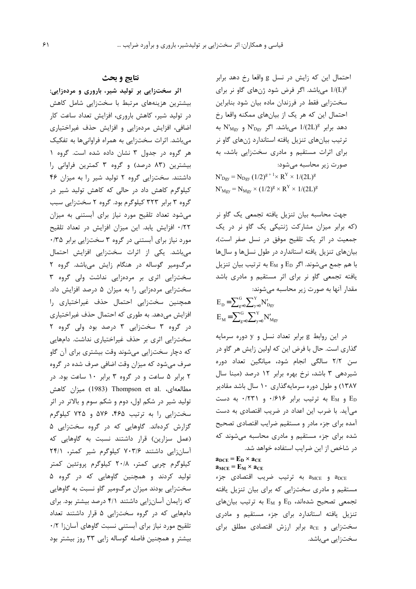احتمال این که زایش در نسل g واقعا رخ دهد برابر میباشد. اگر فرض شود ژنهای گاو نر برای  $1/(\mathrm{L})^\mathrm{g}$ سختزایی فقط در فرزندان ماده بیان شود بنابراین احتمال این که هر یک از بیانهای ممکنه واقعا رخ دهد برابر 1/(2L) میباشد. اگر N'<sub>Dgy</sub> و N'<sub>Mgy</sub> ترتیب بیانهای تنزیل یافته استاندارد ژنهای گاو نر برای اثرات مستقیم و مادری سختزایی باشد، به صورت زیر محاسبه میشود:  $N'_{\text{Dgy}} = N_{\text{Dgy}} (1/2)^{g+1} \times R^{Y} \times 1/(2L)^{g}$ 

 $N'_{Mgy} = N_{Mgy} \times (1/2)^g \times R^{Y} \times 1/(2L)^g$ 

جهت محاسبه بیان تنزیل یافته تجمعی یک گاو نر (که برابر میزان مشارکت ژنتیکی یک گاو نر در یک جمعیت در اثر یک تلقیح موفق در نسل صفر است)، بیانهای تنزیل یافته استاندارد در طول نسلها و سالها با هم جمع میشوند. اگر  $\rm E_{D}$  و  $\rm E_{M}$  به ترتیب بیان تنزیل یافته تجمعی گاو نر برای اثر مستقیم و مادری باشد مقدار آنها به صورت زیر محاسبه می شوند:

$$
E_{D} = \sum_{g=0}^{G} \sum_{y=0}^{Y} N'_{Dgy}
$$

$$
E_{M} = \sum_{g=0}^{G} \sum_{y=0}^{Y} N'_{Mgy}
$$

در این روابط g برابر تعداد نسل و y دوره سرمایه گذاری است. حال با فرض این که اولین زایش هر گاو در سن ۲/۲ سالگی انجام شود، میانگین تعداد دوره شیردهی ۳ باشد، نرخ بهره برابر ۱۲ درصد (مبنا سال ۱۳۸۷) و طول دوره سرمایهگذاری ۱۰ سال باشد مقادیر و  $E_M$  به ترتیب برابر ۰/۶۱۶ و ۰/۲۳۱ به دست  $E_D$ می آید. با ضرب این اعداد در ضریب اقتصادی به دست آمده برای جزء مادر و مستقیم ضرایب اقتصادی تصحیح شده برای جزء مستقیم و مادری محاسبه میشوند که در شاخص از این ضرایب استفاده خواهد شد.

 $\mathbf{a}_{\text{DCE}} = \mathbf{E}_{\text{D}} \times \mathbf{a}_{\text{CE}}$  $\mathbf{a}_{MCE} = \mathbf{E}_{M} \times \mathbf{a}_{CE}$ 

aMCE و aMCE به ترتيب ضريب اقتصادى جزء مستقیم و مادری سختزایی که برای بیان تنزیل یافته تجمعی تصحیح شدهاند،  $\rm E_{M}$  و  $\rm E_{M}$  به ترتیب بیانهای تنزیل یافته استاندارد برای جزء مستقیم و مادری  $a_{CE}$  و  $a_{CE}$  برابر ارزش اقتصادی مطلق برای سختزایی میباشد.

## **نتايج و بحث**

اثر سختزایی بر تولید شیر، باروری و مردهزایی: بیشترین هزینههای مرتبط با سختزایی شامل کاهش در تولید شیر، کاهش باروری، افزایش تعداد ساعت کار اضافی، افزایش مردهزایی و افزایش حذف غیراختیاری میباشد. اثرات سختزایی به همراه فراوانیها به تفکیک هر گروه در جدول ۳ نشان داده شده است. گروه ۱ بیشترین (۸۳ درصد) و گروه ۳ کمترین فراوانی را داشتند. سختزایی گروه ۲ تولید شیر را به میزان ۴۶ کیلوگرم کاهش داد در حالی که کاهش تولید شیر در گروه ۳ برابر ۳۲۳ کیلوگرم بود. گروه ۲ سختزایی سبب میشود تعداد تلقیح مورد نیاز برای آبستنی به میزان ٢٢/٠ افزايش يابد. اين ميزان افزايش در تعداد تلقيح مورد نیاز برای آبستنی در گروه ۳ سختزایی برابر ۰/۳۵ میباشد. یکی از اثرات سختزایی افزایش احتمال مرگومیر گوساله در هنگام زایش میباشد. گروه ۲ سختزایی اثری بر مردهزایی نداشت ولی گروه ۳ سختزایی مردهزایی را به میزان ۵ درصد افزایش داد. همچنین سختزایی احتمال حذف غیراختیاری را افزایش میدهد. به طوری که احتمال حذف غیراختیاری در گروه ۳ سختزایی ۳ درصد بود ولی گروه ۲ سختزایی اثری بر حذف غیراختیاری نداشت. دامهایی كه دچار سختزايي ميشوند وقت بيشتري براي آن گاو صرف میشود که میزان وقت اضافی صرف شده در گروه ۲ برابر ۵ ساعت و در گروه ۳ برابر ۱۰ ساعت بود. در مطالعهای، .Thompson et al و1983) میزان کاهش تولید شیر در شکم اول، دوم و شکم سوم و بالاتر در اثر سختزایی را به ترتیب ۴۶۵، ۵۷۶ و ۷۲۵ کیلوگرم گزارش کردهاند. گاوهایی که در گروه سختزایی ۵ (عمل سزارین) قرار داشتند نسبت به گاوهایی که آسانزایی داشتند ۷۰۳/۶ کیلوگرم شیر کمتر، ۲۴/۱ کیلوگرم چربی کمتر، ۲۰/۸ کیلوگرم پروتئین کمتر تولید کردند و همچنین گاوهایی که در گروه ۵ سختزایی بودند میزان مرگومیر گاو نسبت به گاوهایی که زایمان آسانزایی داشتند ۴/۱ درصد بیشتر بود. برای دامهایی که در گروه سختزایی ۵ قرار داشتند تعداد تلقیح مورد نیاز برای آبستنی نسبت گاوهای آسانزا ۰/۲ بیشتر و همچنین فاصله گوساله زایی ۳۳ روز بیشتر بود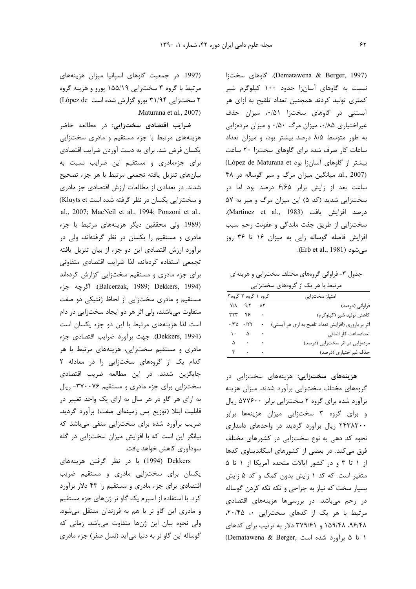(Dematawena & Berger, 1997). گاوهای سخت;ا نسبت به گاوهای آسان;ا حدود ۱۰۰ کیلوگرم شیر کمتری تولید کردند همچنین تعداد تلقیح به ازای هر آبستنی در گاوهای سختزا ۵۱/۰، میزان حذف غیراختیاری ۰/۵۰، میزان مرگ ۰/۵۰ و میزان مردهزایی به طور متوسط ٨/٥ درصد بيشتر بود، و ميزان تعداد ساعات کار صرف شده برای گاوهای سختزا ۲۰ ساعت (López de Maturana et بيشتر از گاوهاى آسانزا بود al., 2007). میانگین میزان مرگ و میر گوساله در ۴۸ ساعت بعد از زایش برابر ۶/۶۵ درصد بود اما در سختزایی شدید (کد ۵) این میزان مرگ و میر به ۵۷ درصد افزايش يافت (Martinez et al., 1983). سختزایی از طریق جفت ماندگی و عفونت رحم سبب افزایش فاصله گوساله زایی به میزان ۱۶ تا ۳۶ روز .(Erb et al., 1981)

جدول ۳- فراوانی گروههای مختلف سختزایی و هزینهای

| مرتبط با هر یک از گروههای سختزایی |                               |        |                                                    |  |  |  |  |
|-----------------------------------|-------------------------------|--------|----------------------------------------------------|--|--|--|--|
|                                   | گروه ۱ گروه ۲ گروه۳           |        | امتياز سختزايي                                     |  |  |  |  |
|                                   | $Y/\lambda$ $9/7$ $\lambda$ ۳ |        | فراوانی (درصد)                                     |  |  |  |  |
|                                   | $rrr$ $r\rho$ .               |        | كاهش توليد شير (كيلوگرم)                           |  |  |  |  |
|                                   | $\cdot$ /۳۵ $\cdot$ /۲۲       | $\,$ . | اثر بر باروري (افزايش تعداد تلقيح به ازي هر آبستي) |  |  |  |  |
|                                   | $\lambda \cdot \Delta$ .      |        | تعدادساعت كار اضافى                                |  |  |  |  |
|                                   |                               |        | مردهزایی در اثر سختزایی (درصد)                     |  |  |  |  |
|                                   | $\mathbf{r}$                  |        | حذف غیراختیاری (درصد)                              |  |  |  |  |

**هزینههای سختزایی:** هزینههای سختزایی در گروههای مختلف سختزایی برآورد شدند. میزان هزینه برآورد شده برای گروه ۲ سختزایی برابر ۵۷۷۶۰۰ ریال و برای گروه ۳ سختزایی میزان هزینهها برابر ۲۴۳۸۳۰۰ ریال برآورد گردید. در واحدهای دامداری نحوه کد دهی به نوع سختزایی در کشورهای مختلف فرق میکند. در بعضی از کشورهای اسکاندیناوی کدها از ۱ تا ۳ و در کشور ایالات متحده آمریکا از ۱ تا ۵ متغیر است. که کد ۱ زایش بدون کمک و کد ۵ زایش بسيار سخت كه نياز به جراحى و تكه تكه كردن گوساله در رحم میباشد. در بررسیها هزینههای اقتصادی مرتبط با هر یک از کدهای سختزایی .، ۲۰/۴۵، ۹۶/۴۸، ۱۵۹/۴۸ و ۳۷۹/۶۱ دلار به ترتیب برای کدهای ا تا ۵ برآورد شده است ,Dematawena & Berger)

(1997. در جمعیت گاوهای اسپانیا میزان هزینههای مرتبط با گروه ۳ سختزایی ۱۵۵/۱۹ یورو و هزینه گروه ۲ سختزایی ۳۱/۹۴ یورو گزارش شده است López de) .Maturana et al., 2007)

**ضرایب اقتصادی سختزایی:** در مطالعه حاضر هزینههای مرتبط با جزء مستقیم و مادری سختزایی یکسان فرض شد. برای به دست آوردن ضرایب اقتصادی برای جزءمادری و مستقیم این ضرایب نسبت به بیانهای تنزیل یافته تجمعی مرتبط با هر جزء تصحیح شدند. در تعدادی از مطالعات ارزش اقتصادی جز مادری و سختزایی یکسان در نظر گرفته شده است Kluyts et) .al., 2007; MacNeil et al., 1994; Ponzoni et al., (1989. ولی محققین دیگر هزینههای مرتبط با جزء مادری و مستقیم را یکسان در نظر گرفتهاند، ولی در برآورد ارزش اقتصادی این دو جزء از بیان تنزیل یافته تجمعی استفاده کردهاند، لذا ضرایب اقتصادی متفاوتی برای جزء مادری و مستقیم سختزایی گزارش کردهاند \]^ 3c6?, .(Balcerzak, 1989; Dekkers, 1994) مستقیم و مادری سختزایی از لحاظ ژنتیکی دو صفت متفاوت میباشند، ولی اثر هر دو ایجاد سختزایی در دام است لذا هزینههای مرتبط با این دو جزء یکسان است (Dekkers, 1994). جهت برآورد ضرايب اقتصادى جزء مادری و مستقیم سختزایی، هزینههای مرتبط با هر کدام یک از گروههای سختزایی را در معادله ۲ جایگزین شدند. در این مطالعه ضریب اقتصادی سختزایی برای جزء مادری و مستقیم ۳۷۰۰۷۶- ریال به ازای هر گاو در هر سال به ازای یک واحد تغییر در قابلیت ابتلا (توزیع پس زمینهای صفت) برآورد گردید. ضریب برآورد شده برای سختزایی منفی میباشد که بیانگر این است که با افزایش میزان سختزایی در گله سودآوري كاهش خواهد يافت.

Dekkers (1994) با در نظر گرفتن هزینههای یکسان برای سختزایی مادری و مستقیم ضریب اقتصادی برای جزء مادری و مستقیم را ۴۳ دلار برآورد کرد. با استفاده از اسپرم یک گاو نر ژنهای جزء مستقیم و مادری این گاو نر با هم به فرزندان منتقل میشود. ولی نحوه بیان این ژنها متفاوت میباشد. زمانی که گوساله این گاو نر به دنیا می آید (نسل صفر) جزء مادری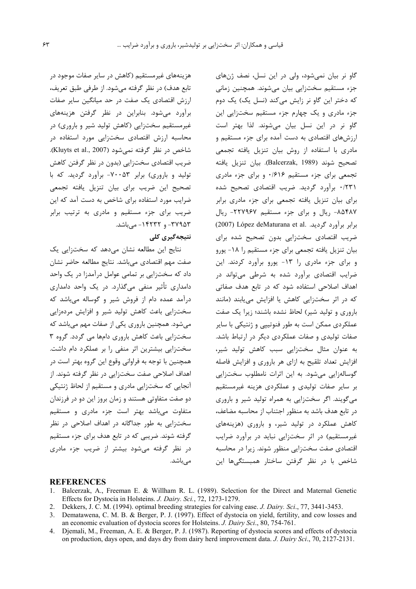گاو نر بیان نمیشود، ولی در این نسل، نصف ژنهای جزء مستقیم سختزایی بیان میشوند. همچنین زمانی كه دختر اين گاو نر زايش مى كند (نسل يک) يک دوم جزء مادری و یک چهارم جزء مستقیم سختزایی این گاو نر در این نسل بیان میشوند. لذا بهتر است ارزشهای اقتصادی به دست آمده برای جزء مستقیم و مادری با استفاده از روش بیان تنزیل یافته تجمعی تصحيح شوند (Balcerzak, 1989). بيان تنزيل يافته تجمعی برای جزء مستقیم ۱۶۱۶ و برای جزء مادری ۰/۲۳۱ برآورد گردید. ضریب اقتصادی تصحیح شده برای بیان تنزیل یافته تجمعی برای جزء مادری برابر ٨۵۴٨٧- ريال وبراى جزء مستقيم ٢٢٧٩۶٧- ريال (2007) López deMaturana et al. برابر برآورد گرديد. ضریب اقتصادی سختزایی بدون تصحیح شده برای بیان تنزیل یافته تجمعی برای جزء مستقیم را ۱۸- یورو و برای جزء مادری را ١٣- يورو برآورد كردند. اين ضرایب اقتصادی برآورد شده به شرطی میتواند در اهداف اصلاحی استفاده شود که در تابع هدف صفاتی كه در اثر سخت;ایی كاهش یا افزایش می یابند (مانند باروری و تولید شیر) لحاظ نشده باشند؛ زیرا یک صفت عملکردی ممکن است به طور فنوتیپی و ژنتیکی با سایر صفات تولیدی و صفات عملکردی دیگر در ارتباط باشد. به عنوان مثال سختزايي سبب كاهش توليد شير، افزایش تعداد تلقیح به ازای هر باروری و افزایش فاصله گوسالهزایی میشود. به این اثرات نامطلوب سختزایی بر سایر صفات تولیدی و عملکردی هزینه غیرمستقیم میگویند. اگر سختزایی به همراه تولید شیر و باروری در تابع هدف باشد به منظور اجتناب از محاسبه مضاعف، کاهش عملکرد در تولید شیر، و باروری (هزینههای غیرمستقیم) در اثر سختزایی نباید در برآورد ضرایب اقتصادی صفت سخت;ایی منظور شوند. زیرا در محاسبه شاخص با در نظر گرفتن ساختار همبستگیها این

هزینههای غیرمستقیم (کاهش در سایر صفات موجود در تابع هدف) در نظر گرفته می شود. از طرفی طبق تعریف، ارزش اقتصادی یک صفت در حد میانگین سایر صفات برآورد میشود. بنابراین در نظر گرفتن هزینههای غیرمستقیم سختزایی (کاهش تولید شیر و باروری) در محاسبه ارزش اقتصادی سختزایی مورد استفاده در شاخص در نظر گرفته نمیشود (Kluyts et al., 2007). ضریب اقتصادی سخت;ایی (بدون در نظر گرفتن کاهش تولید و باروری) برابر ۷۰۰۵۳- برآورد گردید. که با تصحیح این ضریب برای بیان تنزیل یافته تجمعی ضرایب مورد استفاده برای شاخص به دست آمد که این ضریب برای جزء مستقیم و مادری به ترتیب برابر ۳۷۹۵۳ - و ۱۴۲۳۲ - می باشد.

### نتیجهگیری کلی

نتایج این مطالعه نشان میدهد که سخت;ایی یک صفت مهم اقتصادى مىباشد. نتايج مطالعه حاضر نشان داد که سختزایی بر تمامی عوامل درآمدزا در یک واحد دامداری تأثیر منفی میگذارد. در یک واحد دامداری درآمد عمده دام از فروش شیر و گوساله میباشد که سختزایی باعث کاهش تولید شیر و افزایش مردهزایی میشود. همچنین باروری یکی از صفات مهم میباشد که سختزایی باعث کاهش باروری دامها می گردد. گروه ۳ سختزایی بیشترین اثر منفی را بر عملکرد دام داشت. همچنین با توجه به فراوانی وقوع این گروه بهتر است در اهداف اصلاحی صفت سخت;ایی در نظر گرفته شوند. از آنجایی که سخت;ایی ماد<sub>ر</sub>ی و مستقیم از لحاظ ژنتیکی دو صفت متفاوتی هستند و زمان بروز این دو در فرزندان متفاوت میباشد بهتر است جزء مادری و مستقیم سخت;ایی به طور جداگانه در اهداف اصلاحی در نظر گرفته شوند. ضریبی که در تابع هدف برای جزء مستقیم در نظر گرفته می شود بیشتر از ضریب جزء مادری مے باشد.

#### **REFERENCES**

- 1. Balcerzak, A., Freeman E. & Willham R. L. (1989). Selection for the Direct and Maternal Genetic Effects for Dystocia in Holsteins. *J. Dairy. Sci.*, 72, 1273-1279.
- 2. Dekkers, J. C. M. (1994). optimal breeding strategies for calving ease. *J. Dairy. Sci*., 77, 3441-3453.
- 3. Dematawena, C. M. B. & Berger, P. J. (1997). Effect of dystocia on yield, fertility, and cow losses and an economic evaluation of dystocia scores for Holsteins. *J. Dairy Sci*., 80, 754-761.
- 4. Djemali, M., Freeman, A. E. & Berger, P. J. (1987). Reporting of dystocia scores and effects of dystocia on production, days open, and days dry from dairy herd improvement data. *J. Dairy Sci*., 70, 2127-2131.